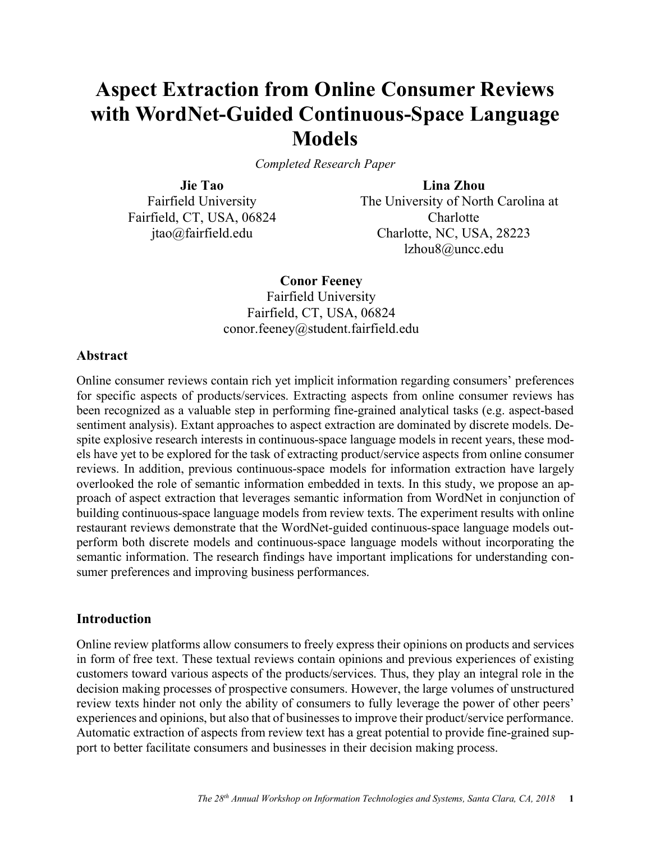# **Aspect Extraction from Online Consumer Reviews with WordNet-Guided Continuous-Space Language Models**

*Completed Research Paper*

**Jie Tao** Fairfield University Fairfield, CT, USA, 06824 jtao@fairfield.edu

**Lina Zhou** The University of North Carolina at **Charlotte** Charlotte, NC, USA, 28223 lzhou8@uncc.edu

**Conor Feeney**

Fairfield University Fairfield, CT, USA, 06824 conor.feeney@student.fairfield.edu

#### **Abstract**

Online consumer reviews contain rich yet implicit information regarding consumers' preferences for specific aspects of products/services. Extracting aspects from online consumer reviews has been recognized as a valuable step in performing fine-grained analytical tasks (e.g. aspect-based sentiment analysis). Extant approaches to aspect extraction are dominated by discrete models. Despite explosive research interests in continuous-space language models in recent years, these models have yet to be explored for the task of extracting product/service aspects from online consumer reviews. In addition, previous continuous-space models for information extraction have largely overlooked the role of semantic information embedded in texts. In this study, we propose an approach of aspect extraction that leverages semantic information from WordNet in conjunction of building continuous-space language models from review texts. The experiment results with online restaurant reviews demonstrate that the WordNet-guided continuous-space language models outperform both discrete models and continuous-space language models without incorporating the semantic information. The research findings have important implications for understanding consumer preferences and improving business performances.

## **Introduction**

Online review platforms allow consumers to freely express their opinions on products and services in form of free text. These textual reviews contain opinions and previous experiences of existing customers toward various aspects of the products/services. Thus, they play an integral role in the decision making processes of prospective consumers. However, the large volumes of unstructured review texts hinder not only the ability of consumers to fully leverage the power of other peers' experiences and opinions, but also that of businesses to improve their product/service performance. Automatic extraction of aspects from review text has a great potential to provide fine-grained support to better facilitate consumers and businesses in their decision making process.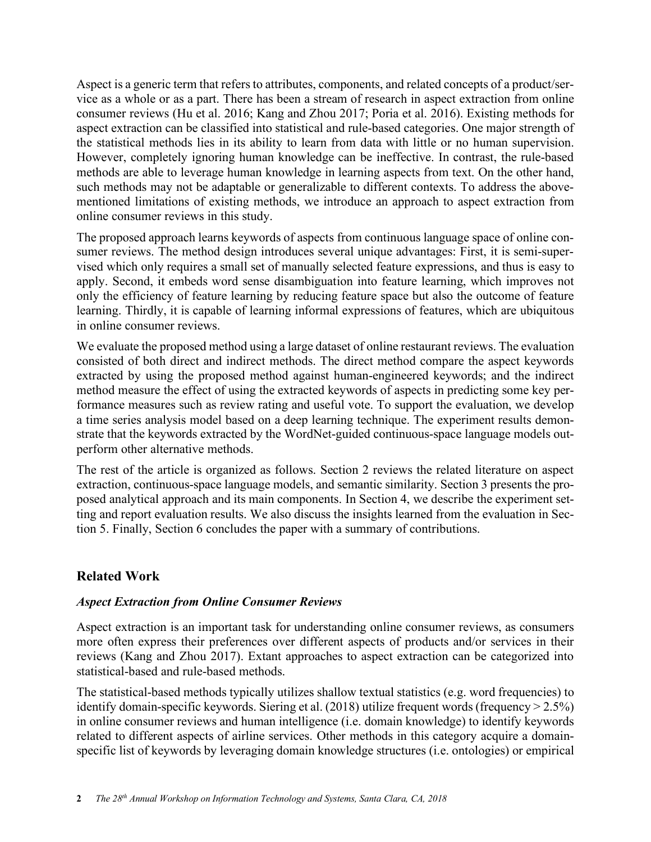Aspect is a generic term that refers to attributes, components, and related concepts of a product/service as a whole or as a part. There has been a stream of research in aspect extraction from online consumer reviews (Hu et al. 2016; Kang and Zhou 2017; Poria et al. 2016). Existing methods for aspect extraction can be classified into statistical and rule-based categories. One major strength of the statistical methods lies in its ability to learn from data with little or no human supervision. However, completely ignoring human knowledge can be ineffective. In contrast, the rule-based methods are able to leverage human knowledge in learning aspects from text. On the other hand, such methods may not be adaptable or generalizable to different contexts. To address the abovementioned limitations of existing methods, we introduce an approach to aspect extraction from online consumer reviews in this study.

The proposed approach learns keywords of aspects from continuous language space of online consumer reviews. The method design introduces several unique advantages: First, it is semi-supervised which only requires a small set of manually selected feature expressions, and thus is easy to apply. Second, it embeds word sense disambiguation into feature learning, which improves not only the efficiency of feature learning by reducing feature space but also the outcome of feature learning. Thirdly, it is capable of learning informal expressions of features, which are ubiquitous in online consumer reviews.

We evaluate the proposed method using a large dataset of online restaurant reviews. The evaluation consisted of both direct and indirect methods. The direct method compare the aspect keywords extracted by using the proposed method against human-engineered keywords; and the indirect method measure the effect of using the extracted keywords of aspects in predicting some key performance measures such as review rating and useful vote. To support the evaluation, we develop a time series analysis model based on a deep learning technique. The experiment results demonstrate that the keywords extracted by the WordNet-guided continuous-space language models outperform other alternative methods.

The rest of the article is organized as follows. Section 2 reviews the related literature on aspect extraction, continuous-space language models, and semantic similarity. Section 3 presents the proposed analytical approach and its main components. In Section 4, we describe the experiment setting and report evaluation results. We also discuss the insights learned from the evaluation in Section 5. Finally, Section 6 concludes the paper with a summary of contributions.

## **Related Work**

## *Aspect Extraction from Online Consumer Reviews*

Aspect extraction is an important task for understanding online consumer reviews, as consumers more often express their preferences over different aspects of products and/or services in their reviews (Kang and Zhou 2017). Extant approaches to aspect extraction can be categorized into statistical-based and rule-based methods.

The statistical-based methods typically utilizes shallow textual statistics (e.g. word frequencies) to identify domain-specific keywords. Siering et al. (2018) utilize frequent words (frequency > 2.5%) in online consumer reviews and human intelligence (i.e. domain knowledge) to identify keywords related to different aspects of airline services. Other methods in this category acquire a domainspecific list of keywords by leveraging domain knowledge structures (i.e. ontologies) or empirical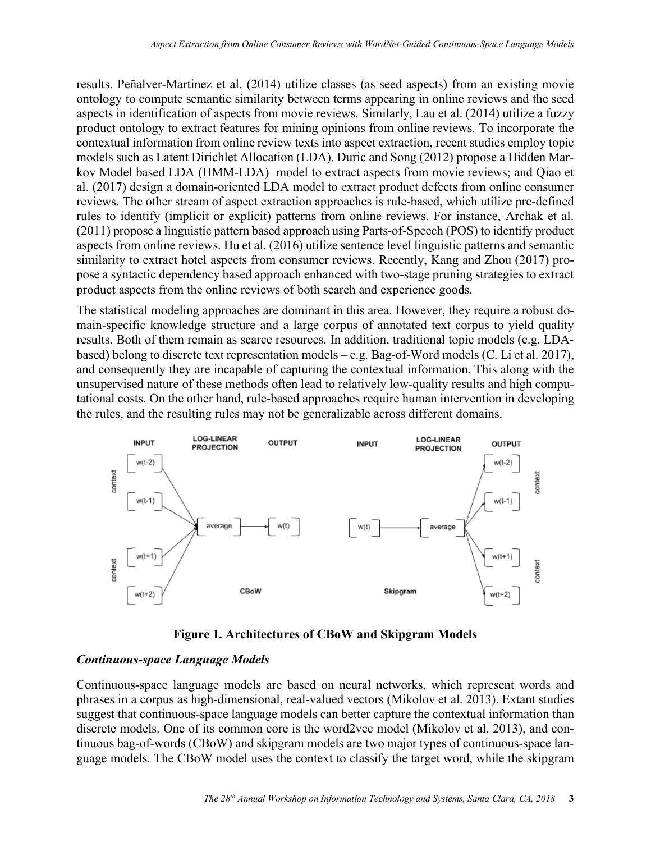results. Peñalver-Martinez et al. (2014) utilize classes (as seed aspects) from an existing movie ontology to compute semantic similarity between terms appearing in online reviews and the seed aspects in identification of aspects from movie reviews. Similarly, Lau et al. (2014) utilize a fuzzy product ontology to extract features for mining opinions from online reviews. To incorporate the contextual information from online review texts into aspect extraction, recent studies employ topic models such as Latent Dirichlet Allocation (LDA). Duric and Song (2012) propose a Hidden Markov Model based LDA (HMM-LDA) model to extract aspects from movie reviews; and Qiao et al. (2017) design a domain-oriented LDA model to extract product defects from online consumer reviews. The other stream of aspect extraction approaches is rule-based, which utilize pre-defined rules to identify (implicit or explicit) patterns from online reviews. For instance, Archak et al. (2011) propose a linguistic pattern based approach using Parts-of-Speech (POS) to identify product aspects from online reviews. Hu et al. (2016) utilize sentence level linguistic patterns and semantic similarity to extract hotel aspects from consumer reviews. Recently, Kang and Zhou (2017) propose a syntactic dependency based approach enhanced with two-stage pruning strategies to extract product aspects from the online reviews of both search and experience goods.

The statistical modeling approaches are dominant in this area. However, they require a robust domain-specific knowledge structure and a large corpus of annotated text corpus to yield quality results. Both of them remain as scarce resources. In addition, traditional topic models (e.g. LDAbased) belong to discrete text representation models – e.g. Bag-of-Word models (C. Li et al. 2017), and consequently they are incapable of capturing the contextual information. This along with the unsupervised nature of these methods often lead to relatively low-quality results and high computational costs. On the other hand, rule-based approaches require human intervention in developing the rules, and the resulting rules may not be generalizable across different domains.



**Figure 1. Architectures of CBoW and Skipgram Models**

# *Continuous-space Language Models*

Continuous-space language models are based on neural networks, which represent words and phrases in a corpus as high-dimensional, real-valued vectors (Mikolov et al. 2013). Extant studies suggest that continuous-space language models can better capture the contextual information than discrete models. One of its common core is the word2vec model (Mikolov et al. 2013), and continuous bag-of-words (CBoW) and skipgram models are two major types of continuous-space language models. The CBoW model uses the context to classify the target word, while the skipgram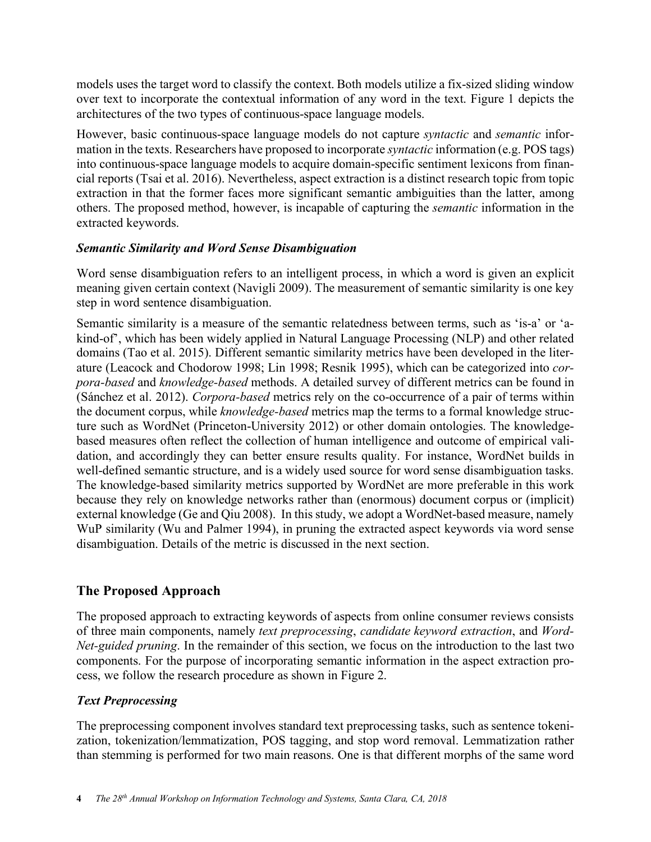models uses the target word to classify the context. Both models utilize a fix-sized sliding window over text to incorporate the contextual information of any word in the text. Figure 1 depicts the architectures of the two types of continuous-space language models.

However, basic continuous-space language models do not capture *syntactic* and *semantic* information in the texts. Researchers have proposed to incorporate *syntactic* information (e.g. POS tags) into continuous-space language models to acquire domain-specific sentiment lexicons from financial reports (Tsai et al. 2016). Nevertheless, aspect extraction is a distinct research topic from topic extraction in that the former faces more significant semantic ambiguities than the latter, among others. The proposed method, however, is incapable of capturing the *semantic* information in the extracted keywords.

## *Semantic Similarity and Word Sense Disambiguation*

Word sense disambiguation refers to an intelligent process, in which a word is given an explicit meaning given certain context (Navigli 2009). The measurement of semantic similarity is one key step in word sentence disambiguation.

Semantic similarity is a measure of the semantic relatedness between terms, such as 'is-a' or 'akind-of', which has been widely applied in Natural Language Processing (NLP) and other related domains (Tao et al. 2015). Different semantic similarity metrics have been developed in the literature (Leacock and Chodorow 1998; Lin 1998; Resnik 1995), which can be categorized into *corpora-based* and *knowledge-based* methods. A detailed survey of different metrics can be found in (Sánchez et al. 2012). *Corpora-based* metrics rely on the co-occurrence of a pair of terms within the document corpus, while *knowledge-based* metrics map the terms to a formal knowledge structure such as WordNet (Princeton-University 2012) or other domain ontologies. The knowledgebased measures often reflect the collection of human intelligence and outcome of empirical validation, and accordingly they can better ensure results quality. For instance, WordNet builds in well-defined semantic structure, and is a widely used source for word sense disambiguation tasks. The knowledge-based similarity metrics supported by WordNet are more preferable in this work because they rely on knowledge networks rather than (enormous) document corpus or (implicit) external knowledge (Ge and Qiu 2008). In this study, we adopt a WordNet-based measure, namely WuP similarity (Wu and Palmer 1994), in pruning the extracted aspect keywords via word sense disambiguation. Details of the metric is discussed in the next section.

# **The Proposed Approach**

The proposed approach to extracting keywords of aspects from online consumer reviews consists of three main components, namely *text preprocessing*, *candidate keyword extraction*, and *Word-Net-guided pruning*. In the remainder of this section, we focus on the introduction to the last two components. For the purpose of incorporating semantic information in the aspect extraction process, we follow the research procedure as shown in Figure 2.

# *Text Preprocessing*

The preprocessing component involves standard text preprocessing tasks, such as sentence tokenization, tokenization/lemmatization, POS tagging, and stop word removal. Lemmatization rather than stemming is performed for two main reasons. One is that different morphs of the same word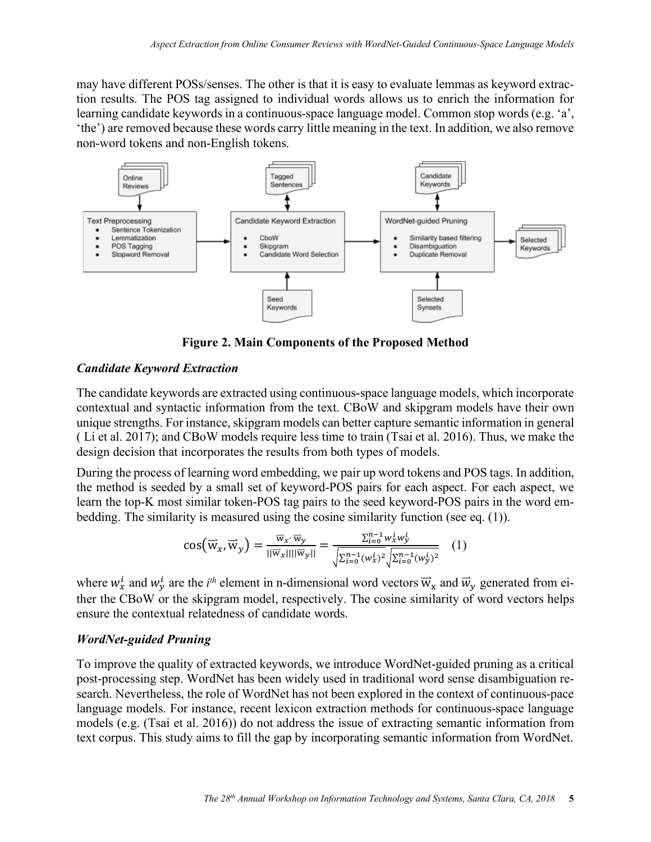may have different POSs/senses. The other is that it is easy to evaluate lemmas as keyword extraction results. The POS tag assigned to individual words allows us to enrich the information for learning candidate keywords in a continuous-space language model. Common stop words (e.g. 'a', 'the') are removed because these words carry little meaning in the text. In addition, we also remove non-word tokens and non-English tokens.



**Figure 2. Main Components of the Proposed Method**

## *Candidate Keyword Extraction*

The candidate keywords are extracted using continuous-space language models, which incorporate contextual and syntactic information from the text. CBoW and skipgram models have their own unique strengths. For instance, skipgram models can better capture semantic information in general ( Li et al. 2017); and CBoW models require less time to train (Tsai et al. 2016). Thus, we make the design decision that incorporates the results from both types of models.

During the process of learning word embedding, we pair up word tokens and POS tags. In addition, the method is seeded by a small set of keyword-POS pairs for each aspect. For each aspect, we learn the top-K most similar token-POS tag pairs to the seed keyword-POS pairs in the word embedding. The similarity is measured using the cosine similarity function (see eq. (1)).

$$
\cos(\overrightarrow{w}_x, \overrightarrow{w}_y) = \frac{\overrightarrow{w}_x \cdot \overrightarrow{w}_y}{\|\overrightarrow{w}_x\| \|\overrightarrow{w}_y\|} = \frac{\sum_{i=0}^{n-1} w_x^i w_y^i}{\sqrt{\sum_{i=0}^{n-1} (w_x^i)^2} \sqrt{\sum_{i=0}^{n-1} (w_y^i)^2}} \quad (1)
$$

where  $w_x^i$  and  $w_y^i$  are the *i*<sup>th</sup> element in n-dimensional word vectors  $\vec{w}_x$  and  $\vec{w}_y$  generated from either the CBoW or the skipgram model, respectively. The cosine similarity of word vectors helps ensure the contextual relatedness of candidate words.

## *WordNet-guided Pruning*

To improve the quality of extracted keywords, we introduce WordNet-guided pruning as a critical post-processing step. WordNet has been widely used in traditional word sense disambiguation research. Nevertheless, the role of WordNet has not been explored in the context of continuous-pace language models. For instance, recent lexicon extraction methods for continuous-space language models (e.g. (Tsai et al. 2016)) do not address the issue of extracting semantic information from text corpus. This study aims to fill the gap by incorporating semantic information from WordNet.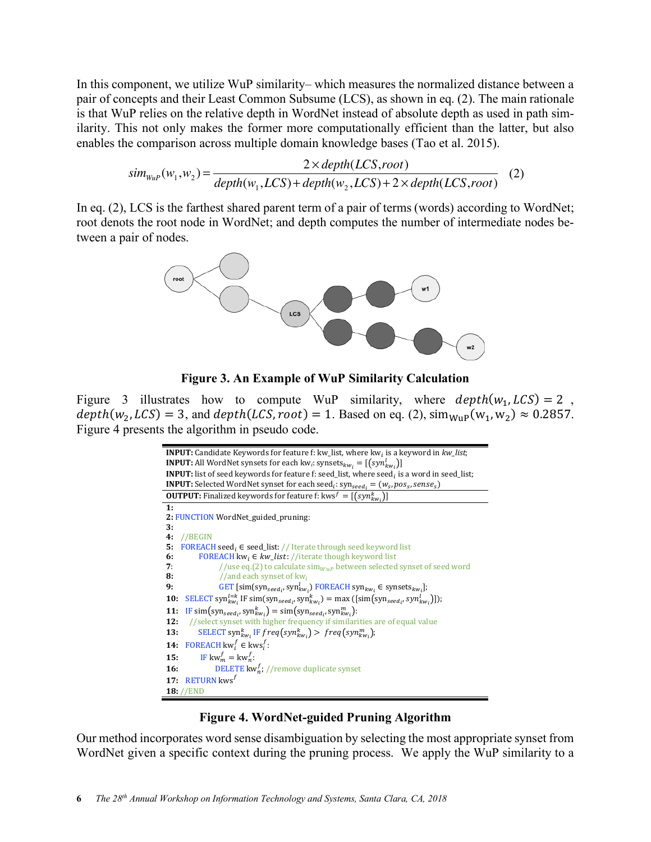In this component, we utilize WuP similarity– which measures the normalized distance between a pair of concepts and their Least Common Subsume (LCS), as shown in eq. (2). The main rationale is that WuP relies on the relative depth in WordNet instead of absolute depth as used in path similarity. This not only makes the former more computationally efficient than the latter, but also enables the comparison across multiple domain knowledge bases (Tao et al. 2015).

$$
sim_{\text{WuP}}(w_1, w_2) = \frac{2 \times depth(LCS, root)}{depth(w_1, LCS) + depth(w_2, LCS) + 2 \times depth(LCS, root)}
$$
 (2)

In eq. (2), LCS is the farthest shared parent term of a pair of terms (words) according to WordNet; root denots the root node in WordNet; and depth computes the number of intermediate nodes between a pair of nodes.



**Figure 3. An Example of WuP Similarity Calculation** 

Figure 3 illustrates how to compute WuP similarity, where  $depth(w_1, LCS) = 2$ ,  $depth(w_2, LCS) = 3$ , and  $depth(LCS, root) = 1$ . Based on eq. (2),  $sim_{Wup}(w_1, w_2) \approx 0.2857$ . Figure 4 presents the algorithm in pseudo code.

| <b>INPUT:</b> Candidate Keywords for feature f: kw_list, where kw <sub>i</sub> is a keyword in kw_list;                                                                            |  |  |  |
|------------------------------------------------------------------------------------------------------------------------------------------------------------------------------------|--|--|--|
| <b>INPUT:</b> All WordNet synsets for each kw <sub>i</sub> : synsets <sub>kwi</sub> = [(syn <sup>l</sup> <sub>kwi</sub> )]                                                         |  |  |  |
| <b>INPUT:</b> list of seed keywords for feature f: seed_list, where seed <sub>i</sub> is a word in seed_list;                                                                      |  |  |  |
| <b>INPUT:</b> Selected WordNet synset for each seed <sub>i</sub> : $syn_{seed_i} = (w_s, pos_s, sense_s)$                                                                          |  |  |  |
| <b>OUTPUT:</b> Finalized keywords for feature f: kws $f = [(syn_{kw_i}^k)]$                                                                                                        |  |  |  |
| 1:                                                                                                                                                                                 |  |  |  |
| 2: FUNCTION WordNet_guided_pruning:                                                                                                                                                |  |  |  |
| 3:                                                                                                                                                                                 |  |  |  |
| 4:<br>// <b>BEGIN</b>                                                                                                                                                              |  |  |  |
| <b>FOREACH</b> seed <sub>i</sub> $\in$ seed_list: // Iterate through seed keyword list<br>5:                                                                                       |  |  |  |
| <b>FOREACH</b> kw <sub>i</sub> $\in$ kw_list: //iterate though keyword list<br>6:                                                                                                  |  |  |  |
| //use eq.(2) to calculate $\sin_{WuP}$ between selected synset of seed word<br>7:                                                                                                  |  |  |  |
| 8:<br>//and each synset of $kw_i$                                                                                                                                                  |  |  |  |
| GET [sim(syn <sub>seed<sub>i</sub>, syn<sup>l</sup><sub>kw<sub>i</sub></sub>) FOREACH syn<sub>kw<sub>i</sub></sub> <math>\in</math> synsets<sub>kw<sub>i</sub>];</sub></sub><br>9: |  |  |  |
| SELECT syn ${}_{k w_i}^{l=k}$ IF sim(syn <sub>seed<sub>i</sub></sub> , syn ${}_{k w_i}^k$ ) = max ([sim(syn <sub>seed<sub>i</sub>, syn<math>{}_{k w_i}^l</math>]]);</sub><br>10:   |  |  |  |
| IF $\text{sim}(\text{syn}_{\text{seed},i}, \text{syn}_{\text{kw}_i}^k) = \text{sim}(\text{syn}_{\text{seed},i}, \text{syn}_{\text{kw}_i}^m)$ :<br>11:                              |  |  |  |
| //select synset with higher frequency if similarities are of equal value<br>12:                                                                                                    |  |  |  |
| SELECT syn <sup>k</sup> <sub>w</sub> , IF freq(syn <sup>k</sup> <sub>w</sub> ,) > freq(syn <sup>m</sup> <sub>kw</sub> ,);<br>13:                                                   |  |  |  |
| FOREACH kw <sup>f</sup> $\in$ kws <sup>f</sup> :<br>14:                                                                                                                            |  |  |  |
| IF $kw_m^f = kw_n^f$ :<br>15:                                                                                                                                                      |  |  |  |
| <b>DELETE</b> kw <sup>f</sup> ; //remove duplicate synset<br><b>16:</b>                                                                                                            |  |  |  |
| RETURN $kws^f$<br>17:                                                                                                                                                              |  |  |  |
| $18$ : //END                                                                                                                                                                       |  |  |  |

#### **Figure 4. WordNet-guided Pruning Algorithm**

Our method incorporates word sense disambiguation by selecting the most appropriate synset from WordNet given a specific context during the pruning process. We apply the WuP similarity to a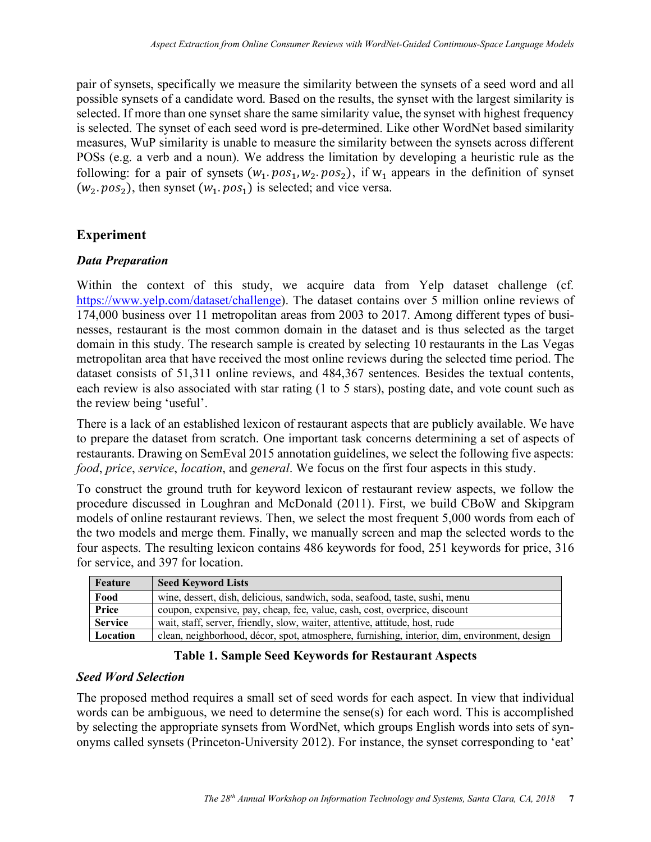pair of synsets, specifically we measure the similarity between the synsets of a seed word and all possible synsets of a candidate word. Based on the results, the synset with the largest similarity is selected. If more than one synset share the same similarity value, the synset with highest frequency is selected. The synset of each seed word is pre-determined. Like other WordNet based similarity measures, WuP similarity is unable to measure the similarity between the synsets across different POSs (e.g. a verb and a noun). We address the limitation by developing a heuristic rule as the following: for a pair of synsets  $(w_1, pos_1, w_2, pos_2)$ , if  $w_1$  appears in the definition of synset  $(w_2. pos_2)$ , then synset  $(w_1. pos_1)$  is selected; and vice versa.

# **Experiment**

# *Data Preparation*

Within the context of this study, we acquire data from Yelp dataset challenge (cf. https://www.yelp.com/dataset/challenge). The dataset contains over 5 million online reviews of 174,000 business over 11 metropolitan areas from 2003 to 2017. Among different types of businesses, restaurant is the most common domain in the dataset and is thus selected as the target domain in this study. The research sample is created by selecting 10 restaurants in the Las Vegas metropolitan area that have received the most online reviews during the selected time period. The dataset consists of 51,311 online reviews, and 484,367 sentences. Besides the textual contents, each review is also associated with star rating (1 to 5 stars), posting date, and vote count such as the review being 'useful'.

There is a lack of an established lexicon of restaurant aspects that are publicly available. We have to prepare the dataset from scratch. One important task concerns determining a set of aspects of restaurants. Drawing on SemEval 2015 annotation guidelines, we select the following five aspects: *food*, *price*, *service*, *location*, and *general*. We focus on the first four aspects in this study.

To construct the ground truth for keyword lexicon of restaurant review aspects, we follow the procedure discussed in Loughran and McDonald (2011). First, we build CBoW and Skipgram models of online restaurant reviews. Then, we select the most frequent 5,000 words from each of the two models and merge them. Finally, we manually screen and map the selected words to the four aspects. The resulting lexicon contains 486 keywords for food, 251 keywords for price, 316 for service, and 397 for location.

| Feature        | <b>Seed Keyword Lists</b>                                                                    |
|----------------|----------------------------------------------------------------------------------------------|
| Food           | wine, dessert, dish, delicious, sandwich, soda, seafood, taste, sushi, menu                  |
| Price          | coupon, expensive, pay, cheap, fee, value, cash, cost, overprice, discount                   |
| <b>Service</b> | wait, staff, server, friendly, slow, waiter, attentive, attitude, host, rude                 |
| Location       | clean, neighborhood, décor, spot, atmosphere, furnishing, interior, dim, environment, design |

# **Table 1. Sample Seed Keywords for Restaurant Aspects**

## *Seed Word Selection*

The proposed method requires a small set of seed words for each aspect. In view that individual words can be ambiguous, we need to determine the sense(s) for each word. This is accomplished by selecting the appropriate synsets from WordNet, which groups English words into sets of synonyms called synsets (Princeton-University 2012). For instance, the synset corresponding to 'eat'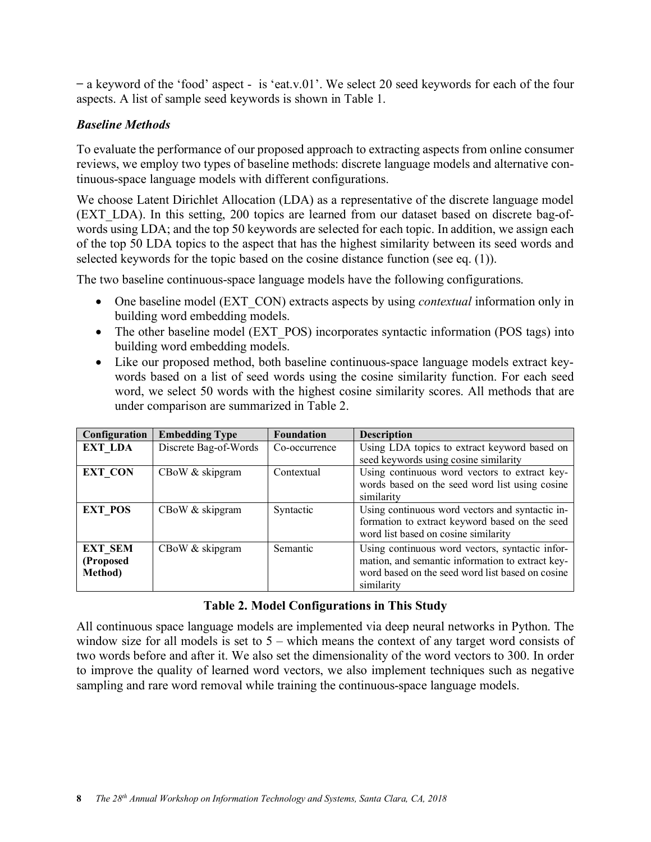̶a keyword of the 'food' aspect - is 'eat.v.01'. We select 20 seed keywords for each of the four aspects. A list of sample seed keywords is shown in Table 1.

## *Baseline Methods*

To evaluate the performance of our proposed approach to extracting aspects from online consumer reviews, we employ two types of baseline methods: discrete language models and alternative continuous-space language models with different configurations.

We choose Latent Dirichlet Allocation (LDA) as a representative of the discrete language model (EXT\_LDA). In this setting, 200 topics are learned from our dataset based on discrete bag-ofwords using LDA; and the top 50 keywords are selected for each topic. In addition, we assign each of the top 50 LDA topics to the aspect that has the highest similarity between its seed words and selected keywords for the topic based on the cosine distance function (see eq. (1)).

The two baseline continuous-space language models have the following configurations.

- One baseline model (EXT\_CON) extracts aspects by using *contextual* information only in building word embedding models.
- The other baseline model (EXT\_POS) incorporates syntactic information (POS tags) into building word embedding models.
- Like our proposed method, both baseline continuous-space language models extract keywords based on a list of seed words using the cosine similarity function. For each seed word, we select 50 words with the highest cosine similarity scores. All methods that are under comparison are summarized in Table 2.

| Configuration                                  | <b>Embedding Type</b> | <b>Foundation</b> | <b>Description</b>                                                                                                                                                    |  |
|------------------------------------------------|-----------------------|-------------------|-----------------------------------------------------------------------------------------------------------------------------------------------------------------------|--|
| <b>EXT LDA</b>                                 | Discrete Bag-of-Words | Co-occurrence     | Using LDA topics to extract keyword based on<br>seed keywords using cosine similarity                                                                                 |  |
| <b>EXT CON</b>                                 | CBoW & skipgram       | Contextual        | Using continuous word vectors to extract key-<br>words based on the seed word list using cosine<br>similarity                                                         |  |
| <b>EXT POS</b>                                 | CBoW & skipgram       | Syntactic         | Using continuous word vectors and syntactic in-<br>formation to extract keyword based on the seed<br>word list based on cosine similarity                             |  |
| <b>EXT SEM</b><br>(Proposed<br><b>Method</b> ) | CBoW & skipgram       | Semantic          | Using continuous word vectors, syntactic infor-<br>mation, and semantic information to extract key-<br>word based on the seed word list based on cosine<br>similarity |  |

## **Table 2. Model Configurations in This Study**

All continuous space language models are implemented via deep neural networks in Python. The window size for all models is set to  $5$  – which means the context of any target word consists of two words before and after it. We also set the dimensionality of the word vectors to 300. In order to improve the quality of learned word vectors, we also implement techniques such as negative sampling and rare word removal while training the continuous-space language models.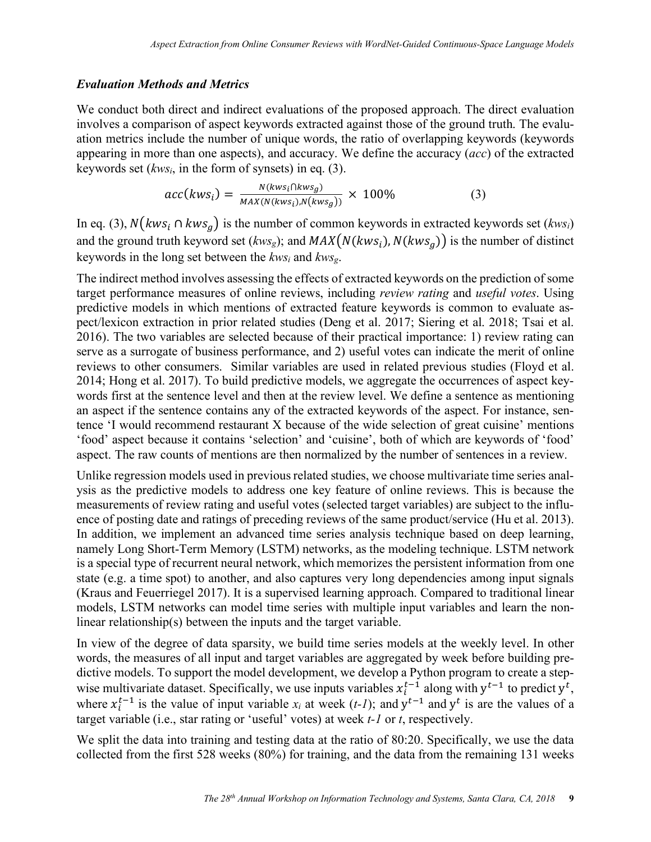#### *Evaluation Methods and Metrics*

We conduct both direct and indirect evaluations of the proposed approach. The direct evaluation involves a comparison of aspect keywords extracted against those of the ground truth. The evaluation metrics include the number of unique words, the ratio of overlapping keywords (keywords appearing in more than one aspects), and accuracy. We define the accuracy (*acc*) of the extracted keywords set (*kwsi*, in the form of synsets) in eq. (3).

$$
acc(kws_i) = \frac{N(kws_i \cap kws_g)}{MAX(N(kws_i), N(kws_g))} \times 100\%
$$
 (3)

In eq. (3),  $N(kws_i ∩ kws_q)$  is the number of common keywords in extracted keywords set ( $kws_i$ ) and the ground truth keyword set ( $kws_g$ ); and  $MAX(N(kws_i), N(kws_g))$  is the number of distinct keywords in the long set between the *kwsi* and *kwsg*.

The indirect method involves assessing the effects of extracted keywords on the prediction of some target performance measures of online reviews, including *review rating* and *useful votes*. Using predictive models in which mentions of extracted feature keywords is common to evaluate aspect/lexicon extraction in prior related studies (Deng et al. 2017; Siering et al. 2018; Tsai et al. 2016). The two variables are selected because of their practical importance: 1) review rating can serve as a surrogate of business performance, and 2) useful votes can indicate the merit of online reviews to other consumers. Similar variables are used in related previous studies (Floyd et al. 2014; Hong et al. 2017). To build predictive models, we aggregate the occurrences of aspect keywords first at the sentence level and then at the review level. We define a sentence as mentioning an aspect if the sentence contains any of the extracted keywords of the aspect. For instance, sentence 'I would recommend restaurant X because of the wide selection of great cuisine' mentions 'food' aspect because it contains 'selection' and 'cuisine', both of which are keywords of 'food' aspect. The raw counts of mentions are then normalized by the number of sentences in a review.

Unlike regression models used in previous related studies, we choose multivariate time series analysis as the predictive models to address one key feature of online reviews. This is because the measurements of review rating and useful votes (selected target variables) are subject to the influence of posting date and ratings of preceding reviews of the same product/service (Hu et al. 2013). In addition, we implement an advanced time series analysis technique based on deep learning, namely Long Short-Term Memory (LSTM) networks, as the modeling technique. LSTM network is a special type of recurrent neural network, which memorizes the persistent information from one state (e.g. a time spot) to another, and also captures very long dependencies among input signals (Kraus and Feuerriegel 2017). It is a supervised learning approach. Compared to traditional linear models, LSTM networks can model time series with multiple input variables and learn the nonlinear relationship(s) between the inputs and the target variable.

In view of the degree of data sparsity, we build time series models at the weekly level. In other words, the measures of all input and target variables are aggregated by week before building predictive models. To support the model development, we develop a Python program to create a stepwise multivariate dataset. Specifically, we use inputs variables  $x_i^{t-1}$  along with  $y^{t-1}$  to predict  $y^t$ , where  $x_i^{t-1}$  is the value of input variable  $x_i$  at week (*t-1*); and  $y^{t-1}$  and  $y^t$  is are the values of a target variable (i.e., star rating or 'useful' votes) at week *t-1* or *t*, respectively.

We split the data into training and testing data at the ratio of 80:20. Specifically, we use the data collected from the first 528 weeks (80%) for training, and the data from the remaining 131 weeks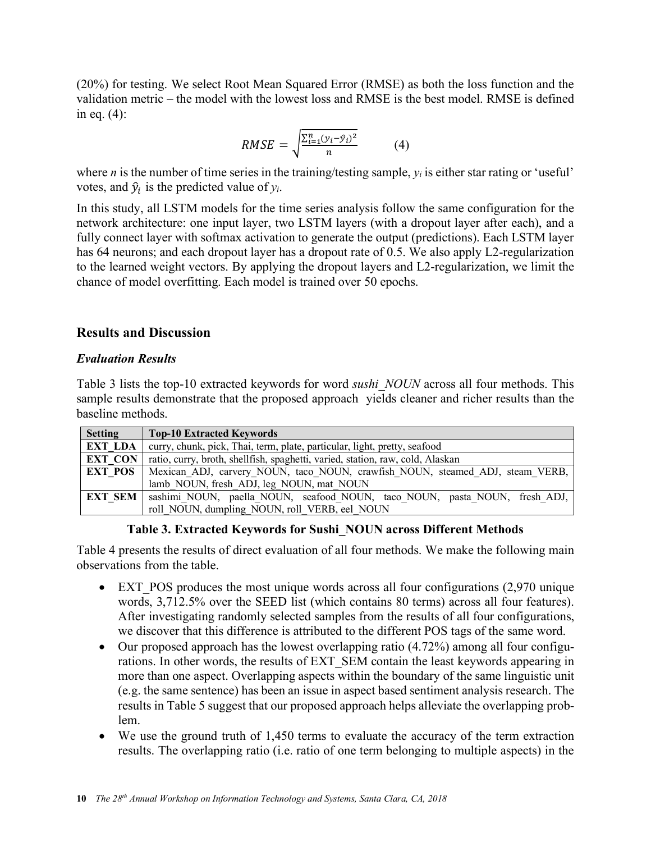(20%) for testing. We select Root Mean Squared Error (RMSE) as both the loss function and the validation metric – the model with the lowest loss and RMSE is the best model. RMSE is defined in eq. (4):

$$
RMSE = \sqrt{\frac{\sum_{i=1}^{n} (y_i - \hat{y}_i)^2}{n}} \tag{4}
$$

where *n* is the number of time series in the training/testing sample,  $y_i$  is either star rating or 'useful' votes, and  $\hat{y}_i$  is the predicted value of  $y_i$ .

In this study, all LSTM models for the time series analysis follow the same configuration for the network architecture: one input layer, two LSTM layers (with a dropout layer after each), and a fully connect layer with softmax activation to generate the output (predictions). Each LSTM layer has 64 neurons; and each dropout layer has a dropout rate of 0.5. We also apply L2-regularization to the learned weight vectors. By applying the dropout layers and L2-regularization, we limit the chance of model overfitting. Each model is trained over 50 epochs.

# **Results and Discussion**

## *Evaluation Results*

Table 3 lists the top-10 extracted keywords for word *sushi\_NOUN* across all four methods. This sample results demonstrate that the proposed approach yields cleaner and richer results than the baseline methods.

| <b>Setting</b> | <b>Top-10 Extracted Keywords</b>                                               |
|----------------|--------------------------------------------------------------------------------|
| <b>EXT LDA</b> | curry, chunk, pick, Thai, term, plate, particular, light, pretty, seafood      |
| <b>EXT CON</b> | ratio, curry, broth, shellfish, spaghetti, varied, station, raw, cold, Alaskan |
| <b>EXT POS</b> | Mexican ADJ, carvery NOUN, taco NOUN, crawfish NOUN, steamed ADJ, steam VERB,  |
|                | lamb NOUN, fresh ADJ, leg NOUN, mat NOUN                                       |
| <b>EXT SEM</b> | sashimi NOUN, paella NOUN, seafood NOUN, taco NOUN, pasta NOUN, fresh ADJ,     |
|                | roll NOUN, dumpling NOUN, roll VERB, eel NOUN                                  |

# **Table 3. Extracted Keywords for Sushi\_NOUN across Different Methods**

Table 4 presents the results of direct evaluation of all four methods. We make the following main observations from the table.

- EXT POS produces the most unique words across all four configurations (2,970 unique words, 3,712.5% over the SEED list (which contains 80 terms) across all four features). After investigating randomly selected samples from the results of all four configurations, we discover that this difference is attributed to the different POS tags of the same word.
- Our proposed approach has the lowest overlapping ratio (4.72%) among all four configurations. In other words, the results of EXT\_SEM contain the least keywords appearing in more than one aspect. Overlapping aspects within the boundary of the same linguistic unit (e.g. the same sentence) has been an issue in aspect based sentiment analysis research. The results in Table 5 suggest that our proposed approach helps alleviate the overlapping problem.
- We use the ground truth of 1,450 terms to evaluate the accuracy of the term extraction results. The overlapping ratio (i.e. ratio of one term belonging to multiple aspects) in the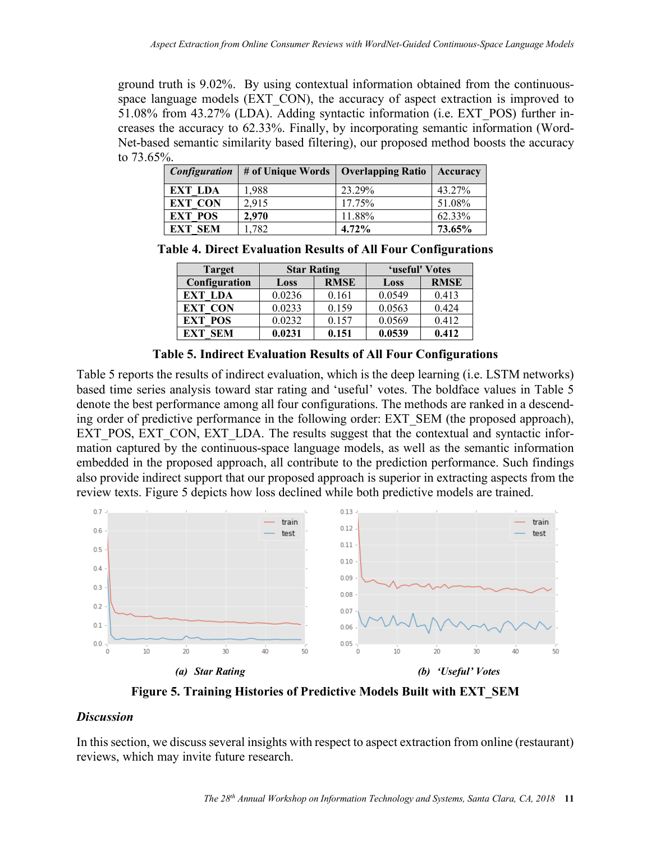ground truth is 9.02%. By using contextual information obtained from the continuousspace language models (EXT\_CON), the accuracy of aspect extraction is improved to 51.08% from 43.27% (LDA). Adding syntactic information (i.e. EXT\_POS) further increases the accuracy to 62.33%. Finally, by incorporating semantic information (Word-Net-based semantic similarity based filtering), our proposed method boosts the accuracy to 73.65%.

| <i>Configuration</i> | # of Unique Words   Overlapping Ratio |          | Accuracy |
|----------------------|---------------------------------------|----------|----------|
| EXT LDA              | 1.988                                 | 23.29%   | 43.27%   |
| <b>EXT CON</b>       | 2,915                                 | 17.75%   | 51.08%   |
| <b>EXT POS</b>       | 2,970                                 | 11.88%   | 62.33%   |
| <b>EXT SEM</b>       | 1,782                                 | $4.72\%$ | 73.65%   |

**Table 4. Direct Evaluation Results of All Four Configurations**

| <b>Target</b>     | <b>Star Rating</b> |             | 'useful' Votes |             |
|-------------------|--------------------|-------------|----------------|-------------|
| Configuration     | Loss               | <b>RMSE</b> | Loss           | <b>RMSE</b> |
| <b>EXT LDA</b>    | 0.0236             | 0.161       | 0.0549         | 0.413       |
| <b>EXT CON</b>    | 0.0233             | 0.159       | 0.0563         | 0424        |
| <b>EXT POS</b>    | 0.0232             | 0.157       | 0.0569         | 0.412       |
| EXT<br><b>SEM</b> | 0.0231             | 0.151       | 0.0539         | 0.412       |

**Table 5. Indirect Evaluation Results of All Four Configurations**

Table 5 reports the results of indirect evaluation, which is the deep learning (i.e. LSTM networks) based time series analysis toward star rating and 'useful' votes. The boldface values in Table 5 denote the best performance among all four configurations. The methods are ranked in a descending order of predictive performance in the following order: EXT\_SEM (the proposed approach), EXT\_POS, EXT\_CON, EXT\_LDA. The results suggest that the contextual and syntactic information captured by the continuous-space language models, as well as the semantic information embedded in the proposed approach, all contribute to the prediction performance. Such findings also provide indirect support that our proposed approach is superior in extracting aspects from the review texts. Figure 5 depicts how loss declined while both predictive models are trained.



**Figure 5. Training Histories of Predictive Models Built with EXT\_SEM** 

#### *Discussion*

In this section, we discuss several insights with respect to aspect extraction from online (restaurant) reviews, which may invite future research.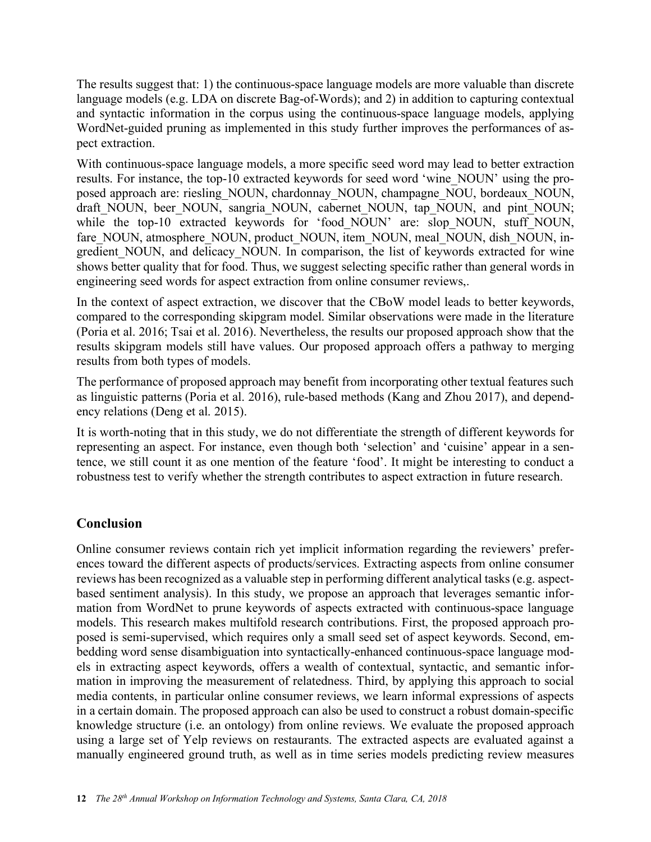The results suggest that: 1) the continuous-space language models are more valuable than discrete language models (e.g. LDA on discrete Bag-of-Words); and 2) in addition to capturing contextual and syntactic information in the corpus using the continuous-space language models, applying WordNet-guided pruning as implemented in this study further improves the performances of aspect extraction.

With continuous-space language models, a more specific seed word may lead to better extraction results. For instance, the top-10 extracted keywords for seed word 'wine\_NOUN' using the proposed approach are: riesling\_NOUN, chardonnay\_NOUN, champagne\_NOU, bordeaux\_NOUN, draft\_NOUN, beer\_NOUN, sangria\_NOUN, cabernet\_NOUN, tap\_NOUN, and pint\_NOUN; while the top-10 extracted keywords for 'food NOUN' are: slop NOUN, stuff NOUN, fare\_NOUN, atmosphere\_NOUN, product\_NOUN, item\_NOUN, meal\_NOUN, dish\_NOUN, ingredient NOUN, and delicacy NOUN. In comparison, the list of keywords extracted for wine shows better quality that for food. Thus, we suggest selecting specific rather than general words in engineering seed words for aspect extraction from online consumer reviews,.

In the context of aspect extraction, we discover that the CBoW model leads to better keywords, compared to the corresponding skipgram model. Similar observations were made in the literature (Poria et al. 2016; Tsai et al. 2016). Nevertheless, the results our proposed approach show that the results skipgram models still have values. Our proposed approach offers a pathway to merging results from both types of models.

The performance of proposed approach may benefit from incorporating other textual features such as linguistic patterns (Poria et al. 2016), rule-based methods (Kang and Zhou 2017), and dependency relations (Deng et al. 2015).

It is worth-noting that in this study, we do not differentiate the strength of different keywords for representing an aspect. For instance, even though both 'selection' and 'cuisine' appear in a sentence, we still count it as one mention of the feature 'food'. It might be interesting to conduct a robustness test to verify whether the strength contributes to aspect extraction in future research.

# **Conclusion**

Online consumer reviews contain rich yet implicit information regarding the reviewers' preferences toward the different aspects of products/services. Extracting aspects from online consumer reviews has been recognized as a valuable step in performing different analytical tasks (e.g. aspectbased sentiment analysis). In this study, we propose an approach that leverages semantic information from WordNet to prune keywords of aspects extracted with continuous-space language models. This research makes multifold research contributions. First, the proposed approach proposed is semi-supervised, which requires only a small seed set of aspect keywords. Second, embedding word sense disambiguation into syntactically-enhanced continuous-space language models in extracting aspect keywords, offers a wealth of contextual, syntactic, and semantic information in improving the measurement of relatedness. Third, by applying this approach to social media contents, in particular online consumer reviews, we learn informal expressions of aspects in a certain domain. The proposed approach can also be used to construct a robust domain-specific knowledge structure (i.e. an ontology) from online reviews. We evaluate the proposed approach using a large set of Yelp reviews on restaurants. The extracted aspects are evaluated against a manually engineered ground truth, as well as in time series models predicting review measures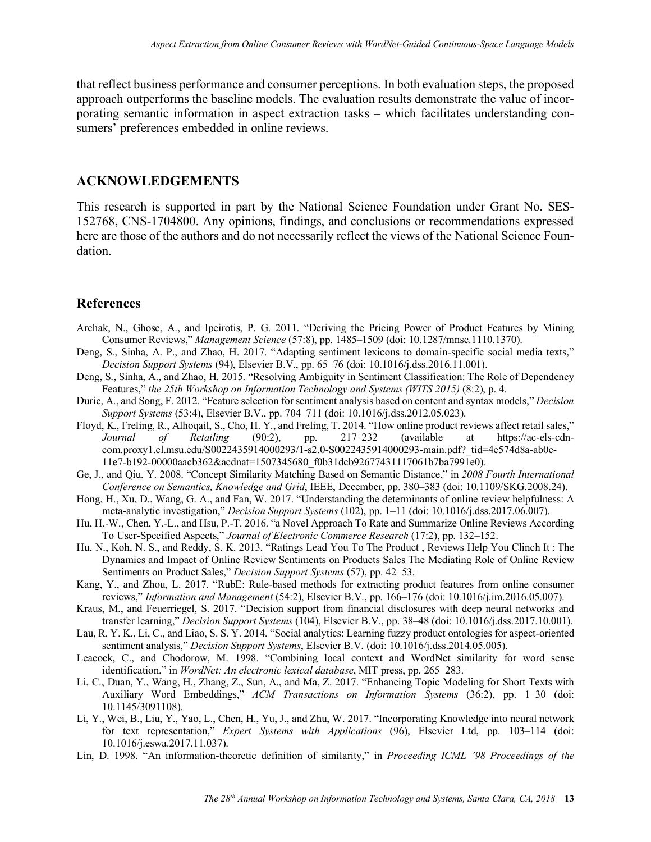that reflect business performance and consumer perceptions. In both evaluation steps, the proposed approach outperforms the baseline models. The evaluation results demonstrate the value of incorporating semantic information in aspect extraction tasks – which facilitates understanding consumers' preferences embedded in online reviews.

#### **ACKNOWLEDGEMENTS**

This research is supported in part by the National Science Foundation under Grant No. SES-152768, CNS-1704800. Any opinions, findings, and conclusions or recommendations expressed here are those of the authors and do not necessarily reflect the views of the National Science Foundation.

#### **References**

- Archak, N., Ghose, A., and Ipeirotis, P. G. 2011. "Deriving the Pricing Power of Product Features by Mining Consumer Reviews," *Management Science* (57:8), pp. 1485–1509 (doi: 10.1287/mnsc.1110.1370).
- Deng, S., Sinha, A. P., and Zhao, H. 2017. "Adapting sentiment lexicons to domain-specific social media texts," *Decision Support Systems* (94), Elsevier B.V., pp. 65–76 (doi: 10.1016/j.dss.2016.11.001).
- Deng, S., Sinha, A., and Zhao, H. 2015. "Resolving Ambiguity in Sentiment Classification: The Role of Dependency Features," *the 25th Workshop on Information Technology and Systems (WITS 2015)* (8:2), p. 4.
- Duric, A., and Song, F. 2012. "Feature selection for sentiment analysis based on content and syntax models," *Decision Support Systems* (53:4), Elsevier B.V., pp. 704–711 (doi: 10.1016/j.dss.2012.05.023).
- Floyd, K., Freling, R., Alhoqail, S., Cho, H. Y., and Freling, T. 2014. "How online product reviews affect retail sales," *Journal of Retailing* (90:2), pp. 217–232 (available at https://ac-els-cdncom.proxy1.cl.msu.edu/S0022435914000293/1-s2.0-S0022435914000293-main.pdf?\_tid=4e574d8a-ab0c-11e7-b192-00000aacb362&acdnat=1507345680\_f0b31dcb92677431117061b7ba7991e0).
- Ge, J., and Qiu, Y. 2008. "Concept Similarity Matching Based on Semantic Distance," in *2008 Fourth International Conference on Semantics, Knowledge and Grid*, IEEE, December, pp. 380–383 (doi: 10.1109/SKG.2008.24).
- Hong, H., Xu, D., Wang, G. A., and Fan, W. 2017. "Understanding the determinants of online review helpfulness: A meta-analytic investigation," *Decision Support Systems* (102), pp. 1–11 (doi: 10.1016/j.dss.2017.06.007).
- Hu, H.-W., Chen, Y.-L., and Hsu, P.-T. 2016. "a Novel Approach To Rate and Summarize Online Reviews According To User-Specified Aspects," *Journal of Electronic Commerce Research* (17:2), pp. 132–152.
- Hu, N., Koh, N. S., and Reddy, S. K. 2013. "Ratings Lead You To The Product , Reviews Help You Clinch It : The Dynamics and Impact of Online Review Sentiments on Products Sales The Mediating Role of Online Review Sentiments on Product Sales," *Decision Support Systems* (57), pp. 42–53.
- Kang, Y., and Zhou, L. 2017. "RubE: Rule-based methods for extracting product features from online consumer reviews," *Information and Management* (54:2), Elsevier B.V., pp. 166–176 (doi: 10.1016/j.im.2016.05.007).
- Kraus, M., and Feuerriegel, S. 2017. "Decision support from financial disclosures with deep neural networks and transfer learning," *Decision Support Systems* (104), Elsevier B.V., pp. 38–48 (doi: 10.1016/j.dss.2017.10.001).
- Lau, R. Y. K., Li, C., and Liao, S. S. Y. 2014. "Social analytics: Learning fuzzy product ontologies for aspect-oriented sentiment analysis," *Decision Support Systems*, Elsevier B.V. (doi: 10.1016/j.dss.2014.05.005).
- Leacock, C., and Chodorow, M. 1998. "Combining local context and WordNet similarity for word sense identification," in *WordNet: An electronic lexical database*, MIT press, pp. 265–283.
- Li, C., Duan, Y., Wang, H., Zhang, Z., Sun, A., and Ma, Z. 2017. "Enhancing Topic Modeling for Short Texts with Auxiliary Word Embeddings," *ACM Transactions on Information Systems* (36:2), pp. 1–30 (doi: 10.1145/3091108).
- Li, Y., Wei, B., Liu, Y., Yao, L., Chen, H., Yu, J., and Zhu, W. 2017. "Incorporating Knowledge into neural network for text representation," *Expert Systems with Applications* (96), Elsevier Ltd, pp. 103–114 (doi: 10.1016/j.eswa.2017.11.037).
- Lin, D. 1998. "An information-theoretic definition of similarity," in *Proceeding ICML '98 Proceedings of the*